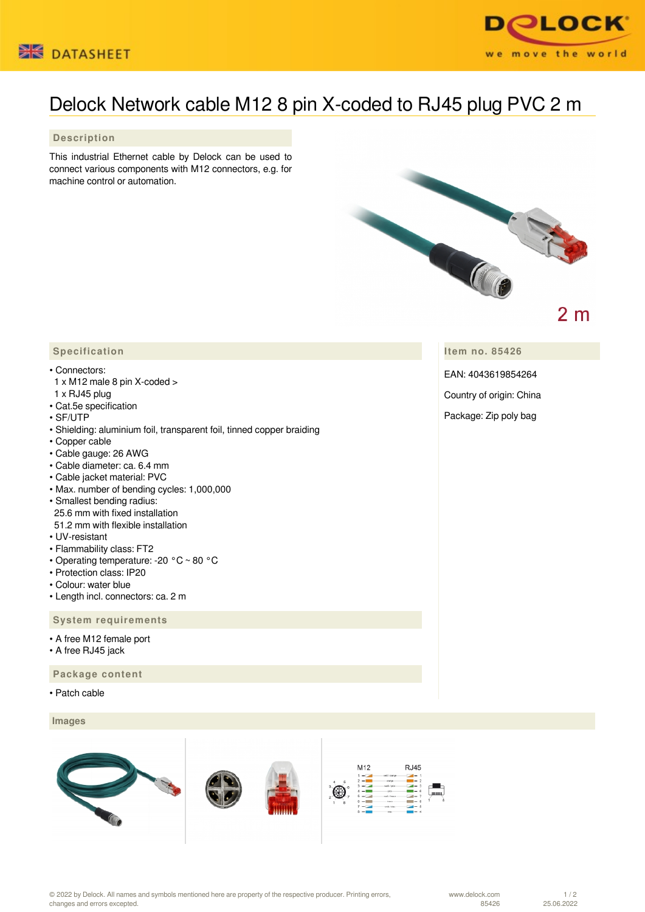



## Delock Network cable M12 8 pin X-coded to RJ45 plug PVC 2 m

 **Description**

This industrial Ethernet cable by Delock can be used to connect various components with M12 connectors, e.g. for machine control or automation.



 $2<sub>m</sub>$ 

**Item no. 85426**

EAN: 4043619854264

Country of origin: China

Package: Zip poly bag

## **Specification**

## • Connectors:

- 1 x M12 male 8 pin X-coded >
- 1 x RJ45 plug
- Cat.5e specification
- SF/UTP
- Shielding: aluminium foil, transparent foil, tinned copper braiding
- Copper cable
- Cable gauge: 26 AWG
- Cable diameter: ca. 6.4 mm
- Cable jacket material: PVC
- Max. number of bending cycles: 1,000,000
- Smallest bending radius: 25.6 mm with fixed installation 51.2 mm with flexible installation
- UV-resistant
- Flammability class: FT2
- Operating temperature: -20 °C ~ 80 °C
- Protection class: IP20
- Colour: water blue
- Length incl. connectors: ca. 2 m

## **System requirements**

- A free M12 female port
- A free RJ45 jack

 **Package content**

• Patch cable

 **Images**



© 2022 by Delock. All names and symbols mentioned here are property of the respective producer. Printing errors, changes and errors excepted.